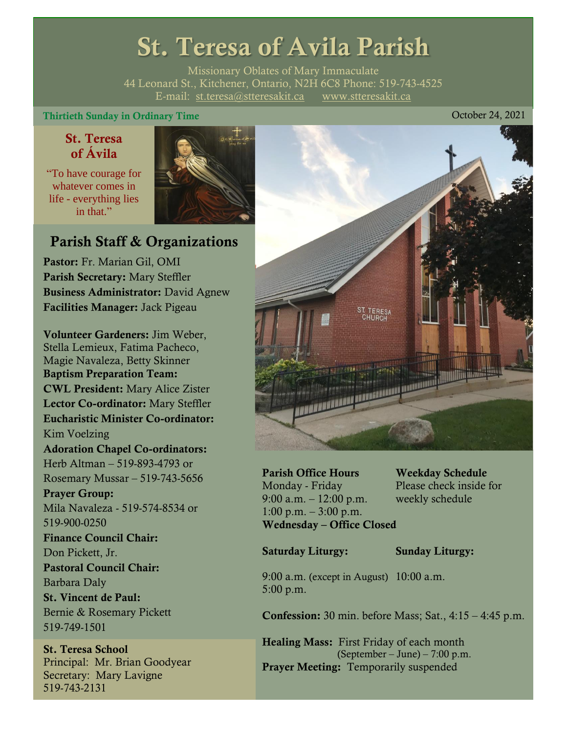# St. Teresa of Avila Parish

Missionary Oblates of Mary Immaculate 44 Leonard St., Kitchener, Ontario, N2H 6C8 Phone: 519-743-4525 E-mail: [st.teresa@stteresakit.ca](mailto:st.teresa@stteresakit.ca) [www.stteresakit.ca](http://www.stteresakit.ca/)

#### Thirtieth Sunday in Ordinary Time October 24, 2021

#### St. Teresa of Ávila

"To have courage for whatever comes in life - everything lies in that"



## Parish Staff & Organizations

Pastor: Fr. Marian Gil, OMI Parish Secretary: Mary Steffler Business Administrator: David Agnew Facilities Manager: Jack Pigeau

Volunteer Gardeners: Jim Weber, Stella Lemieux, Fatima Pacheco, Magie Navaleza, Betty Skinner Baptism Preparation Team: CWL President: Mary Alice Zister Lector Co-ordinator: Mary Steffler Eucharistic Minister Co-ordinator: Kim Voelzing Adoration Chapel Co-ordinators: Herb Altman – 519-893-4793 or Rosemary Mussar – 519-743-5656 Prayer Group: Mila Navaleza - 519-574-8534 or 519-900-0250 Finance Council Chair: Don Pickett, Jr. Pastoral Council Chair: Barbara Daly St. Vincent de Paul: Bernie & Rosemary Pickett 519-749-1501

St. Teresa School Principal: Mr. Brian Goodyear Secretary: Mary Lavigne 519-743-2131



Parish Office Hours Weekday Schedule Monday - Friday Please check inside for 9:00 a.m. – 12:00 p.m. weekly schedule  $1:00 \text{ p.m.} - 3:00 \text{ p.m.}$ Wednesday – Office Closed

Saturday Liturgy: Sunday Liturgy:

9:00 a.m. (except in August) 10:00 a.m. 5:00 p.m.

Confession: 30 min. before Mass; Sat., 4:15 – 4:45 p.m.

Healing Mass: First Friday of each month (September – June) – 7:00 p.m. Prayer Meeting: Temporarily suspended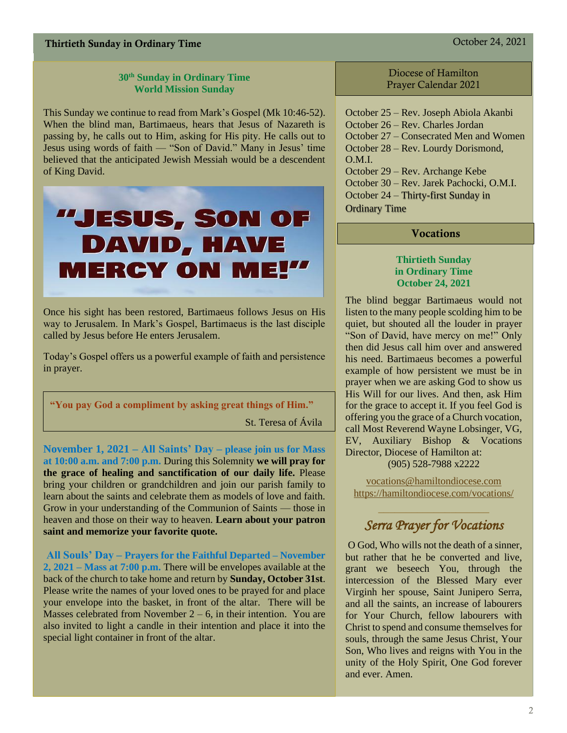### Thirtieth Sunday in Ordinary Time Contract Contract Contract Contract Contract Contract Contract Contract Contract Contract Contract Contract Contract Contract Contract Contract Contract Contract Contract Contract Contract

#### **30th Sunday in Ordinary Time World Mission Sunday**

This Sunday we continue to read from Mark's Gospel (Mk 10:46-52). When the blind man, Bartimaeus, hears that Jesus of Nazareth is passing by, he calls out to Him, asking for His pity. He calls out to Jesus using words of faith — "Son of David." Many in Jesus' time believed that the anticipated Jewish Messiah would be a descendent of King David.

## "JESUS, SON OF **DAVID, HAVE MERCY ON ME!"**

Once his sight has been restored, Bartimaeus follows Jesus on His way to Jerusalem. In Mark's Gospel, Bartimaeus is the last disciple called by Jesus before He enters Jerusalem.

Today's Gospel offers us a powerful example of faith and persistence in prayer.

**"You pay God a compliment by asking great things of Him."**

St. Teresa of Ávila

**November 1, 2021 – All Saints' Day – please join us for Mass at 10:00 a.m. and 7:00 p.m.** During this Solemnity **we will pray for the grace of healing and sanctification of our daily life.** Please bring your children or grandchildren and join our parish family to learn about the saints and celebrate them as models of love and faith. Grow in your understanding of the Communion of Saints — those in heaven and those on their way to heaven. **Learn about your patron saint and memorize your favorite quote.**

**All Souls' Day – Prayers for the Faithful Departed – November 2, 2021 – Mass at 7:00 p.m.** There will be envelopes available at the back of the church to take home and return by **Sunday, October 31st**. Please write the names of your loved ones to be prayed for and place your envelope into the basket, in front of the altar. There will be Masses celebrated from November  $2 - 6$ , in their intention. You are also invited to light a candle in their intention and place it into the special light container in front of the altar.

Diocese of Hamilton Prayer Calendar 2021

October 25 – Rev. Joseph Abiola Akanbi October 26 – Rev. Charles Jordan October 27 – Consecrated Men and Women October 28 – Rev. Lourdy Dorismond, O.M.I. October 29 – Rev. Archange Kebe October 30 – Rev. Jarek Pachocki, O.M.I. October 24 – Thirty-first Sunday in Ordinary Time

#### **Vocations**

#### **Thirtieth Sunday in Ordinary Time October 24, 2021**

The blind beggar Bartimaeus would not listen to the many people scolding him to be quiet, but shouted all the louder in prayer "Son of David, have mercy on me!" Only then did Jesus call him over and answered his need. Bartimaeus becomes a powerful example of how persistent we must be in prayer when we are asking God to show us His Will for our lives. And then, ask Him for the grace to accept it. If you feel God is offering you the grace of a Church vocation, call Most Reverend Wayne Lobsinger, VG, EV, Auxiliary Bishop & Vocations Director, Diocese of Hamilton at:

(905) 528-7988 x2222

[vocations@hamiltondiocese.com](mailto:vocations@hamiltondiocese.com)  <https://hamiltondiocese.com/vocations/>

## *Serra Prayer for Vocations*

O God, Who wills not the death of a sinner, but rather that he be converted and live, grant we beseech You, through the intercession of the Blessed Mary ever Virginh her spouse, Saint Junipero Serra, and all the saints, an increase of labourers for Your Church, fellow labourers with Christ to spend and consume themselves for souls, through the same Jesus Christ, Your Son, Who lives and reigns with You in the unity of the Holy Spirit, One God forever and ever. Amen.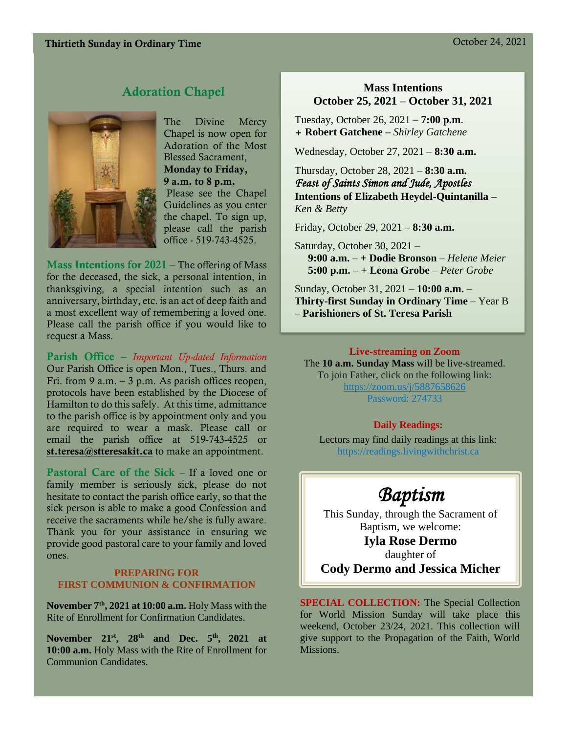#### Thirtieth Sunday in Ordinary Time Contract Contract Contract Contract Contract Contract Contract Contract Contract Contract Contract Contract Contract Contract Contract Contract Contract Contract Contract Contract Contract

## Adoration Chapel



The Divine Mercy Chapel is now open for Adoration of the Most Blessed Sacrament, Monday to Friday, 9 a.m. to 8 p.m.

Please see the Chapel Guidelines as you enter the chapel. To sign up, please call the parish office - 519-743-4525.

Mass Intentions for 2021 – The offering of Mass for the deceased, the sick, a personal intention, in thanksgiving, a special intention such as an anniversary, birthday, etc. is an act of deep faith and a most excellent way of remembering a loved one. Please call the parish office if you would like to request a Mass.

Parish Office – *Important Up-dated Information*  Our Parish Office is open Mon., Tues., Thurs. and Fri. from 9 a.m.  $-3$  p.m. As parish offices reopen, protocols have been established by the Diocese of Hamilton to do this safely. At this time, admittance to the parish office is by appointment only and you are required to wear a mask. Please call or email the parish office at 519-743-4525 or [st.teresa@stteresakit.ca](mailto:st.teresa@stteresakit.ca) to make an appointment.

Pastoral Care of the Sick – If a loved one or family member is seriously sick, please do not hesitate to contact the parish office early, so that the sick person is able to make a good Confession and receive the sacraments while he/she is fully aware. Thank you for your assistance in ensuring we provide good pastoral care to your family and loved ones.

#### **PREPARING FOR FIRST COMMUNION & CONFIRMATION**

**November 7th, 2021 at 10:00 a.m.** Holy Mass with the Rite of Enrollment for Confirmation Candidates.

**November 21st, 28th and Dec. 5th , 2021 at 10:00 a.m.** Holy Mass with the Rite of Enrollment for Communion Candidates.

#### **Mass Intentions October 25, 2021 – October 31, 2021**

Tuesday, October 26, 2021 – **7:00 p.m**. *+* **Robert Gatchene –** *Shirley Gatchene* 

Wednesday, October 27, 2021 – **8:30 a.m.**

Thursday, October 28, 2021 – **8:30 a.m.** *Feast of Saints Simon and Jude, Apostles*  **Intentions of Elizabeth Heydel-Quintanilla –** *Ken & Betty*

Friday, October 29, 2021 – **8:30 a.m.**

Saturday, October 30, 2021 –  **9:00 a.m.** – **+ Dodie Bronson** – *Helene Meier* **5:00 p.m.** – **+ Leona Grobe** – *Peter Grobe*

Sunday, October 31, 2021 – **10:00 a.m.** – **Thirty-first Sunday in Ordinary Time** – Year B – **Parishioners of St. Teresa Parish** 

#### Live-streaming on Zoom

The **10 a.m. Sunday Mass** will be live-streamed. To join Father, click on the following link: <https://zoom.us/j/5887658626> Password: 274733

#### **Daily Readings:**

Lectors may find daily readings at this link: https://readings.livingwithchrist.ca

## *Baptism*

This Sunday, through the Sacrament of Baptism, we welcome:

**Iyla Rose Dermo** daughter of **Cody Dermo and Jessica Micher**

**SPECIAL COLLECTION:** The Special Collection for World Mission Sunday will take place this weekend, October 23/24, 2021. This collection will give support to the Propagation of the Faith, World Missions.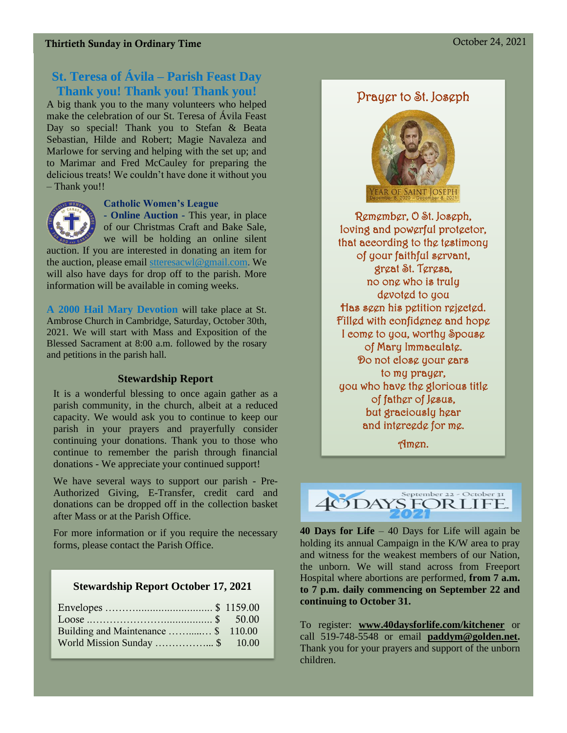## **St. Teresa of Ávila – Parish Feast Day Thank you! Thank you! Thank you!**

A big thank you to the many volunteers who helped make the celebration of our St. Teresa of Ávila Feast Day so special! Thank you to Stefan & Beata Sebastian, Hilde and Robert; Magie Navaleza and Marlowe for serving and helping with the set up; and to Marimar and Fred McCauley for preparing the delicious treats! We couldn't have done it without you – Thank you!!



#### **Catholic Women's League**

**- Online Auction -** This year, in place of our Christmas Craft and Bake Sale, we will be holding an online silent auction. If you are interested in donating an item for the auction, please email [stteresacwl@gmail.com.](mailto:stteresacwl@gmail.com) We

will also have days for drop off to the parish. More information will be available in coming weeks.

**A 2000 Hail Mary Devotion** will take place at St. Ambrose Church in Cambridge, Saturday, October 30th, 2021. We will start with Mass and Exposition of the Blessed Sacrament at 8:00 a.m. followed by the rosary and petitions in the parish hall.

#### **Stewardship Report**

It is a wonderful blessing to once again gather as a parish community, in the church, albeit at a reduced capacity. We would ask you to continue to keep our parish in your prayers and prayerfully consider continuing your donations. Thank you to those who continue to remember the parish through financial donations - We appreciate your continued support!

We have several ways to support our parish - Pre-Authorized Giving, E-Transfer, credit card and donations can be dropped off in the collection basket after Mass or at the Parish Office.

For more information or if you require the necessary forms, please contact the Parish Office.

#### **Stewardship Report October 17, 2021**

| Building and Maintenance  \$ 110.00 |  |
|-------------------------------------|--|
|                                     |  |

## Prayer to St. Joseph



Remember, O St. Joseph, loving and powerful protector, that according to the testimony of your faithful servant, great St. Teresa, no one who is truly devoted to you Has seen his petition rejected. Filled with confidence and hope I come to you, worthy Spouse of Mary Immaculate. Do not close your ears to my prayer, you who have the glorious title of father of Jesus, but graciously hear and intercede for me.

Amen.



**40 Days for Life** – 40 Days for Life will again be holding its annual Campaign in the K/W area to pray and witness for the weakest members of our Nation, the unborn. We will stand across from Freeport Hospital where abortions are performed, **from 7 a.m. to 7 p.m. daily commencing on September 22 and continuing to October 31.** 

To register: **[www.40daysforlife.com/kitchener](http://www.40daysforlife.com/kitchener)** or call 519-748-5548 or email **[paddym@golden.net.](mailto:paddym@golden.net)** Thank you for your prayers and support of the unborn children.